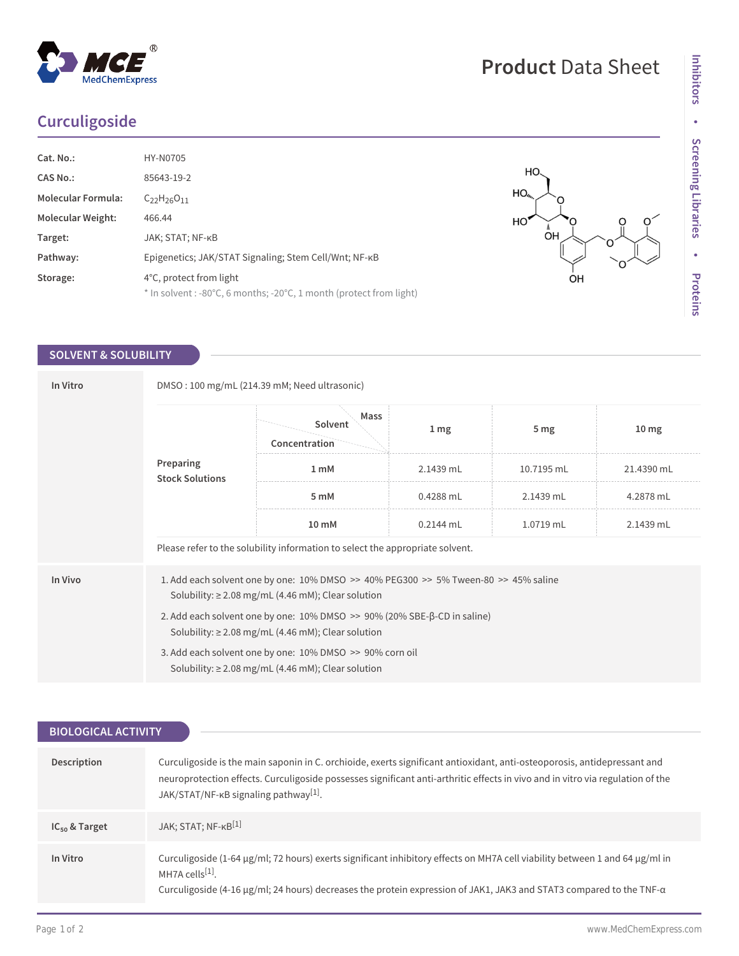## **Curculigoside**

 $^{\circledR}$ 

MedChemExpress

| Cat. No.:                 | <b>HY-N0705</b>                                                                                |
|---------------------------|------------------------------------------------------------------------------------------------|
| CAS No.:                  | 85643-19-2                                                                                     |
| <b>Molecular Formula:</b> | $C_{22}H_{26}O_{11}$                                                                           |
| <b>Molecular Weight:</b>  | 466.44                                                                                         |
| Target:                   | JAK; STAT; NF-KB                                                                               |
| Pathway:                  | Epigenetics; JAK/STAT Signaling; Stem Cell/Wnt; NF-KB                                          |
| Storage:                  | 4°C, protect from light<br>* In solvent : -80°C, 6 months; -20°C, 1 month (protect from light) |
|                           |                                                                                                |

### **SOLVENT & SOLUBILITY**

| In Vitro | DMSO: 100 mg/mL (214.39 mM; Need ultrasonic)                                                                                                                  |                                                                               |                 |                 |                  |  |  |
|----------|---------------------------------------------------------------------------------------------------------------------------------------------------------------|-------------------------------------------------------------------------------|-----------------|-----------------|------------------|--|--|
|          | Preparing<br><b>Stock Solutions</b>                                                                                                                           | Mass<br>Solvent<br>Concentration                                              | 1 <sub>mg</sub> | 5 <sub>mg</sub> | 10 <sub>mg</sub> |  |  |
|          |                                                                                                                                                               | 1 <sub>mM</sub>                                                               | 2.1439 mL       | 10.7195 mL      | 21.4390 mL       |  |  |
|          |                                                                                                                                                               | 5 mM                                                                          | $0.4288$ mL     | 2.1439 mL       | 4.2878 mL        |  |  |
|          |                                                                                                                                                               | 10 mM                                                                         | $0.2144$ mL     | 1.0719 mL       | 2.1439 mL        |  |  |
|          |                                                                                                                                                               | Please refer to the solubility information to select the appropriate solvent. |                 |                 |                  |  |  |
| In Vivo  | 1. Add each solvent one by one: $10\%$ DMSO $\geq$ 40% PEG300 $\geq$ 5% Tween-80 $\geq$ 45% saline<br>Solubility: $\geq$ 2.08 mg/mL (4.46 mM); Clear solution |                                                                               |                 |                 |                  |  |  |
|          | 2. Add each solvent one by one: $10\%$ DMSO $\gg$ 90% (20% SBE- $\beta$ -CD in saline)<br>Solubility: $\geq$ 2.08 mg/mL (4.46 mM); Clear solution             |                                                                               |                 |                 |                  |  |  |
|          | 3. Add each solvent one by one: 10% DMSO >> 90% corn oil<br>Solubility: $\geq$ 2.08 mg/mL (4.46 mM); Clear solution                                           |                                                                               |                 |                 |                  |  |  |
|          |                                                                                                                                                               |                                                                               |                 |                 |                  |  |  |

| <b>BIOLOGICAL ACTIVITY</b> |                                                                                                                                                                                                                                                                                                                 |  |  |  |
|----------------------------|-----------------------------------------------------------------------------------------------------------------------------------------------------------------------------------------------------------------------------------------------------------------------------------------------------------------|--|--|--|
|                            |                                                                                                                                                                                                                                                                                                                 |  |  |  |
| Description                | Curculigoside is the main saponin in C. orchioide, exerts significant antioxidant, anti-osteoporosis, antidepressant and<br>neuroprotection effects. Curculigoside possesses significant anti-arthritic effects in vivo and in vitro via regulation of the<br>JAK/STAT/NF-KB signaling pathway <sup>[1]</sup> . |  |  |  |
| $IC_{50}$ & Target         | JAK; STAT; NF-KB <sup>[1]</sup>                                                                                                                                                                                                                                                                                 |  |  |  |
| In Vitro                   | Curculigoside (1-64 µg/ml; 72 hours) exerts significant inhibitory effects on MH7A cell viability between 1 and 64 µg/ml in<br>MH7A cells $[1]$ .<br>Curculigoside (4-16 $\mu$ g/ml; 24 hours) decreases the protein expression of JAK1, JAK3 and STAT3 compared to the TNF- $\alpha$                           |  |  |  |

O

∩

# **Product** Data Sheet

HO HO,

 $\bigcirc^{\mathbb{A}}$ 

OH

HO<sup>'</sup>